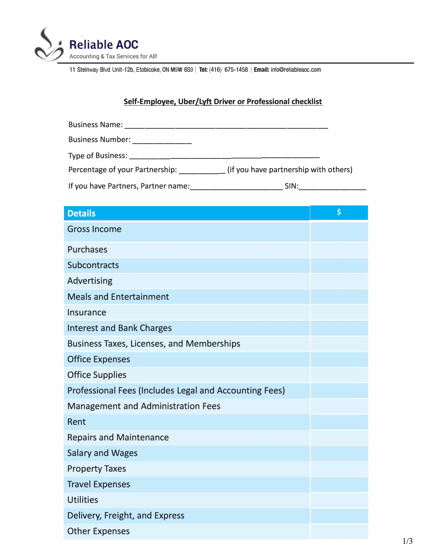

11 Steinway Blvd Unit-12b, Etobicoke, ON M9W 6S<sup>9</sup> I **Tel:** (416) 675-1458 I **Email:** info@reliableaoc.com

## **Self-Employee, Uber/Lyft Driver or Professional checklist**

| Business Name: ________             |                                       |
|-------------------------------------|---------------------------------------|
| Business Number: ____________       |                                       |
|                                     |                                       |
| Percentage of your Partnership:     | (if you have partnership with others) |
| If you have Partners, Partner name: | SIN:                                  |

| <b>Details</b>                                         | \$ |
|--------------------------------------------------------|----|
| <b>Gross Income</b>                                    |    |
| <b>Purchases</b>                                       |    |
| <b>Subcontracts</b>                                    |    |
| <b>Advertising</b>                                     |    |
| <b>Meals and Entertainment</b>                         |    |
| <b>Insurance</b>                                       |    |
| <b>Interest and Bank Charges</b>                       |    |
| <b>Business Taxes, Licenses, and Memberships</b>       |    |
| <b>Office Expenses</b>                                 |    |
| <b>Office Supplies</b>                                 |    |
| Professional Fees (Includes Legal and Accounting Fees) |    |
| <b>Management and Administration Fees</b>              |    |
| Rent                                                   |    |
| <b>Repairs and Maintenance</b>                         |    |
| <b>Salary and Wages</b>                                |    |
| <b>Property Taxes</b>                                  |    |
| <b>Travel Expenses</b>                                 |    |
| <b>Utilities</b>                                       |    |
| Delivery, Freight, and Express                         |    |
| <b>Other Expenses</b>                                  |    |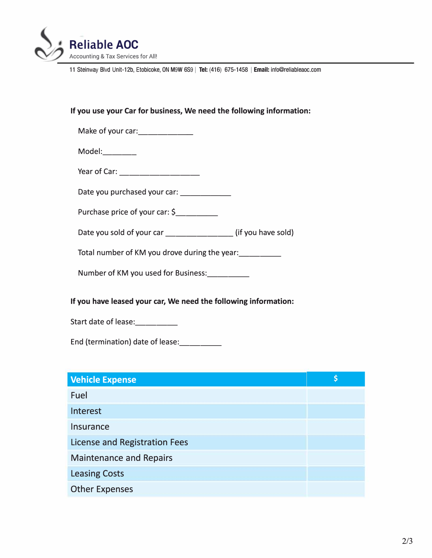

11 Steinway Blvd Unit-12b, Etobicoke, ON M9W 6S<sup>9</sup> I **Tel:** (416) 675-1458 I **Email:** info@reliableaoc.com

## **If you use your Car for business, We need the following information:**

| Make of your car: |  |
|-------------------|--|
|-------------------|--|

Model:

Year of Car: --------

Date you purchased your car:

Purchase price of your car: \$

Date you sold of your car \_\_\_\_\_\_\_\_\_\_\_\_\_\_\_\_(if you have sold)

Total number of KM you drove during the year:<br>

Number of KM you used for Business:

## **If you have leased your car, We need the following information:**

Start date of lease: \_\_\_\_\_\_\_\_\_

End (termination) date of lease: \_\_\_ \_

| <b>Vehicle Expense</b>               | \$ |
|--------------------------------------|----|
| Fuel                                 |    |
| Interest                             |    |
| Insurance                            |    |
| <b>License and Registration Fees</b> |    |
| <b>Maintenance and Repairs</b>       |    |
| <b>Leasing Costs</b>                 |    |
| <b>Other Expenses</b>                |    |